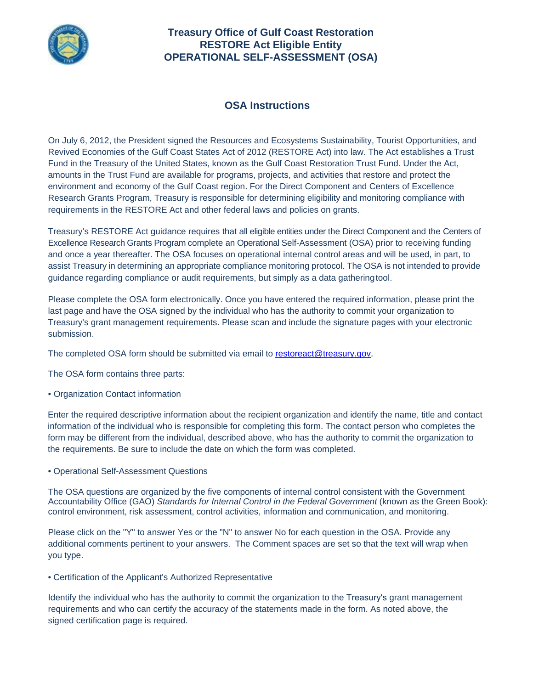

## **Treasury Office of Gulf Coast Restoration RESTORE Act Eligible Entity OPERATIONAL SELF-ASSESSMENT (OSA)**

## **OSA Instructions**

On July 6, 2012, the President signed the Resources and Ecosystems Sustainability, Tourist Opportunities, and Revived Economies of the Gulf Coast States Act of 2012 (RESTORE Act) into law. The Act establishes a Trust Fund in the Treasury of the United States, known as the Gulf Coast Restoration Trust Fund. Under the Act, amounts in the Trust Fund are available for programs, projects, and activities that restore and protect the environment and economy of the Gulf Coast region. For the Direct Component and Centers of Excellence Research Grants Program, Treasury is responsible for determining eligibility and monitoring compliance with requirements in the RESTORE Act and other federal laws and policies on grants.

Treasury's RESTORE Act guidance requires that all eligible entities under the Direct Component and the Centers of Excellence Research Grants Program complete an Operational Self-Assessment (OSA) prior to receiving funding and once a year thereafter. The OSA focuses on operational internal control areas and will be used, in part, to assist Treasury in determining an appropriate compliance monitoring protocol. The OSA is not intended to provide guidance regarding compliance or audit requirements, but simply as a data gatheringtool.

Please complete the OSA form electronically. Once you have entered the required information, please print the last page and have the OSA signed by the individual who has the authority to commit your organization to Treasury's grant management requirements. Please scan and include the signature pages with your electronic submission.

The completed OSA form should be submitted via email to [restoreact@treasury.gov.](mailto:restoreact@treasury.gov)

The OSA form contains three parts:

• Organization Contact information

Enter the required descriptive information about the recipient organization and identify the name, title and contact information of the individual who is responsible for completing this form. The contact person who completes the form may be different from the individual, described above, who has the authority to commit the organization to the requirements. Be sure to include the date on which the form was completed.

• Operational Self-Assessment Questions

The OSA questions are organized by the five components of internal control consistent with the Government Accountability Office (GAO) *Standards for Internal Control in the Federal Government* (known as the Green Book): control environment, risk assessment, control activities, information and communication, and monitoring.

Please click on the "Y" to answer Yes or the "N" to answer No for each question in the OSA. Provide any additional comments pertinent to your answers. The Comment spaces are set so that the text will wrap when you type.

• Certification of the Applicant's Authorized Representative

Identify the individual who has the authority to commit the organization to the Treasury's grant management requirements and who can certify the accuracy of the statements made in the form. As noted above, the signed certification page is required.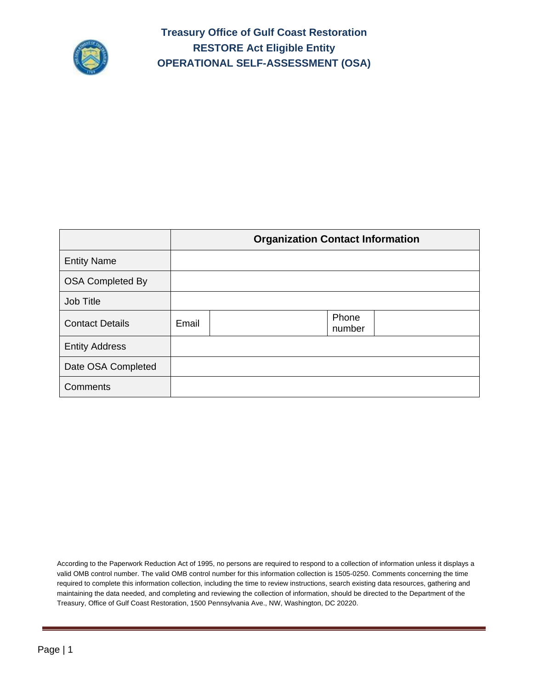

**Treasury Office of Gulf Coast Restoration RESTORE Act Eligible Entity OPERATIONAL SELF-ASSESSMENT (OSA)**

|                         |       | <b>Organization Contact Information</b> |
|-------------------------|-------|-----------------------------------------|
| <b>Entity Name</b>      |       |                                         |
| <b>OSA Completed By</b> |       |                                         |
| Job Title               |       |                                         |
| <b>Contact Details</b>  | Email | Phone<br>number                         |
| <b>Entity Address</b>   |       |                                         |
| Date OSA Completed      |       |                                         |
| Comments                |       |                                         |

According to the Paperwork Reduction Act of 1995, no persons are required to respond to a collection of information unless it displays a valid OMB control number. The valid OMB control number for this information collection is 1505-0250. Comments concerning the time required to complete this information collection, including the time to review instructions, search existing data resources, gathering and maintaining the data needed, and completing and reviewing the collection of information, should be directed to the Department of the Treasury, Office of Gulf Coast Restoration, 1500 Pennsylvania Ave., NW, Washington, DC 20220.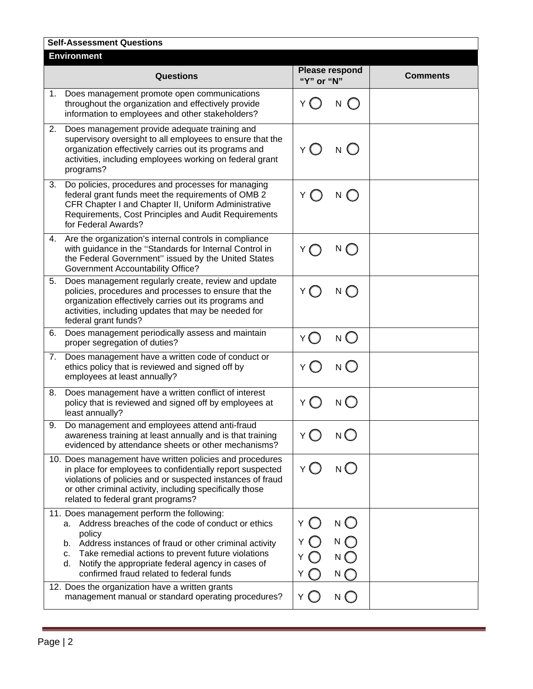|    | <b>Self-Assessment Questions</b>                                                                                                                                                                                                                                                                                                            |                                                                        |                 |
|----|---------------------------------------------------------------------------------------------------------------------------------------------------------------------------------------------------------------------------------------------------------------------------------------------------------------------------------------------|------------------------------------------------------------------------|-----------------|
|    | <b>Environment</b>                                                                                                                                                                                                                                                                                                                          |                                                                        |                 |
|    | <b>Questions</b>                                                                                                                                                                                                                                                                                                                            | <b>Please respond</b><br>"Y" or "N"                                    | <b>Comments</b> |
| 1. | Does management promote open communications<br>throughout the organization and effectively provide<br>information to employees and other stakeholders?                                                                                                                                                                                      |                                                                        |                 |
| 2. | Does management provide adequate training and<br>supervisory oversight to all employees to ensure that the<br>organization effectively carries out its programs and<br>activities, including employees working on federal grant<br>programs?                                                                                                | Y<br>N.                                                                |                 |
| 3. | Do policies, procedures and processes for managing<br>federal grant funds meet the requirements of OMB 2<br>CFR Chapter I and Chapter II, Uniform Administrative<br>Requirements, Cost Principles and Audit Requirements<br>for Federal Awards?                                                                                             | Υ<br>N                                                                 |                 |
| 4. | Are the organization's internal controls in compliance<br>with guidance in the "Standards for Internal Control in<br>the Federal Government" issued by the United States<br><b>Government Accountability Office?</b>                                                                                                                        | N                                                                      |                 |
| 5. | Does management regularly create, review and update<br>policies, procedures and processes to ensure that the<br>organization effectively carries out its programs and<br>activities, including updates that may be needed for<br>federal grant funds?                                                                                       | $N$ $\bigcap$<br>Y                                                     |                 |
| 6. | Does management periodically assess and maintain<br>proper segregation of duties?                                                                                                                                                                                                                                                           | $N \cup$                                                               |                 |
| 7. | Does management have a written code of conduct or<br>ethics policy that is reviewed and signed off by<br>employees at least annually?                                                                                                                                                                                                       | N(                                                                     |                 |
| 8. | Does management have a written conflict of interest<br>policy that is reviewed and signed off by employees at<br>least annually?                                                                                                                                                                                                            | N <sub>C</sub><br>Υ                                                    |                 |
| 9  | Do management and employees attend anti-fraud<br>awareness training at least annually and is that training<br>evidenced by attendance sheets or other mechanisms?                                                                                                                                                                           | $N$ $\bigcirc$<br>Υ                                                    |                 |
|    | 10. Does management have written policies and procedures<br>in place for employees to confidentially report suspected<br>violations of policies and or suspected instances of fraud<br>or other criminal activity, including specifically those<br>related to federal grant programs?                                                       | $N$ $\bigcirc$<br>Y (_)                                                |                 |
|    | 11. Does management perform the following:<br>a. Address breaches of the code of conduct or ethics<br>policy<br>b. Address instances of fraud or other criminal activity<br>Take remedial actions to prevent future violations<br>c.<br>Notify the appropriate federal agency in cases of<br>d.<br>confirmed fraud related to federal funds | $N$ $O$<br>$\bigcap$<br>Y.<br>$N$ $\bigcap$<br>Y<br>N (<br>Y<br>N<br>Y |                 |
|    | 12. Does the organization have a written grants<br>management manual or standard operating procedures?                                                                                                                                                                                                                                      | $N$ $\bigcirc$<br>Y ( )                                                |                 |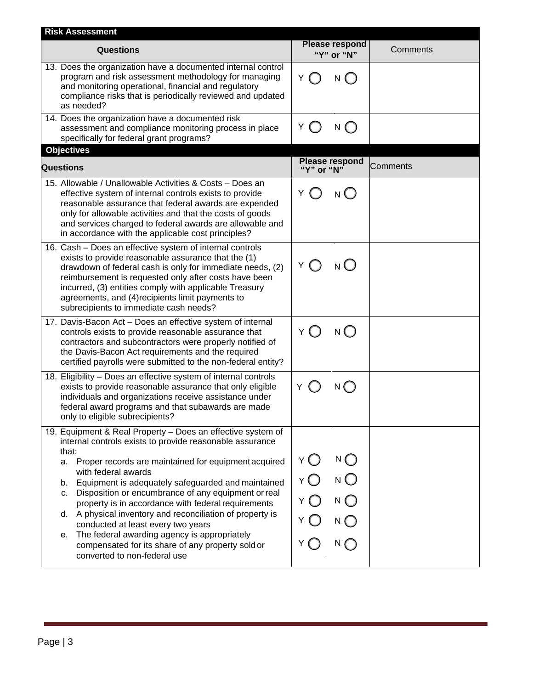| <b>Risk Assessment</b>                                                                                           |                                                |  |  |  |
|------------------------------------------------------------------------------------------------------------------|------------------------------------------------|--|--|--|
| "Y" or "N"                                                                                                       | Comments                                       |  |  |  |
| $Y \cap$<br>N(                                                                                                   |                                                |  |  |  |
| Y<br>$N$ $\bigcirc$                                                                                              |                                                |  |  |  |
|                                                                                                                  |                                                |  |  |  |
| "Y" or "N"                                                                                                       | Comments                                       |  |  |  |
| Y<br>N(                                                                                                          |                                                |  |  |  |
| ΥO<br>$N$ $\bigcirc$                                                                                             |                                                |  |  |  |
| $N$ $\bigcirc$<br>Y                                                                                              |                                                |  |  |  |
| Y.<br>$N$ $\bigcap$                                                                                              |                                                |  |  |  |
|                                                                                                                  |                                                |  |  |  |
| ΥŐ<br>$N\bigcirc$<br>Y O<br>$N$ $\bigcirc$<br>$N$ $\bigcirc$<br>Y O<br>$N$ $\bigcirc$<br>Y<br>$N$ $\bigcap$<br>Y |                                                |  |  |  |
|                                                                                                                  | <b>Please respond</b><br><b>Please respond</b> |  |  |  |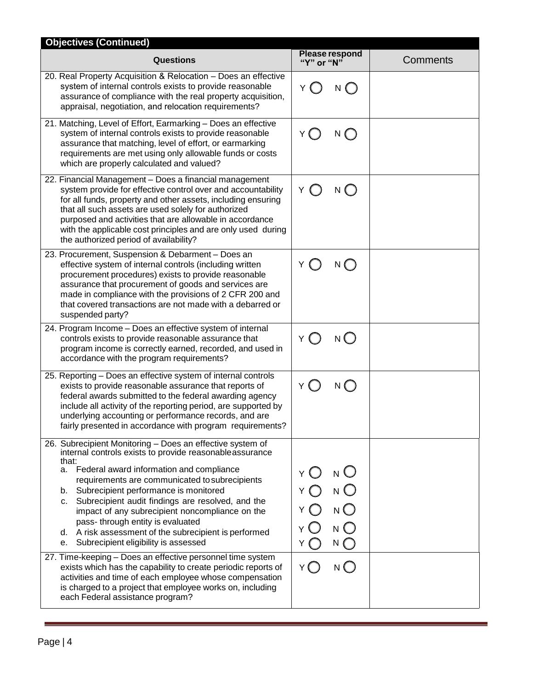| <b>Objectives (Continued)</b>                                                                                                                                                                                                                                                                                                                                                                                                                                                                                                               |                                                                                           |          |  |  |
|---------------------------------------------------------------------------------------------------------------------------------------------------------------------------------------------------------------------------------------------------------------------------------------------------------------------------------------------------------------------------------------------------------------------------------------------------------------------------------------------------------------------------------------------|-------------------------------------------------------------------------------------------|----------|--|--|
| <b>Questions</b>                                                                                                                                                                                                                                                                                                                                                                                                                                                                                                                            | Please respond<br>"Y" or "N"                                                              | Comments |  |  |
| 20. Real Property Acquisition & Relocation - Does an effective<br>system of internal controls exists to provide reasonable<br>assurance of compliance with the real property acquisition,<br>appraisal, negotiation, and relocation requirements?                                                                                                                                                                                                                                                                                           | Y (<br>N ( )                                                                              |          |  |  |
| 21. Matching, Level of Effort, Earmarking - Does an effective<br>system of internal controls exists to provide reasonable<br>assurance that matching, level of effort, or earmarking<br>requirements are met using only allowable funds or costs<br>which are properly calculated and valued?                                                                                                                                                                                                                                               | Y ( )<br>$\bigcap$<br>N                                                                   |          |  |  |
| 22. Financial Management - Does a financial management<br>system provide for effective control over and accountability<br>for all funds, property and other assets, including ensuring<br>that all such assets are used solely for authorized<br>purposed and activities that are allowable in accordance<br>with the applicable cost principles and are only used during<br>the authorized period of availability?                                                                                                                         | $\bigcirc$<br>Y<br>N                                                                      |          |  |  |
| 23. Procurement, Suspension & Debarment - Does an<br>effective system of internal controls (including written<br>procurement procedures) exists to provide reasonable<br>assurance that procurement of goods and services are<br>made in compliance with the provisions of 2 CFR 200 and<br>that covered transactions are not made with a debarred or<br>suspended party?                                                                                                                                                                   | Y<br>$N$ $\bigcirc$                                                                       |          |  |  |
| 24. Program Income - Does an effective system of internal<br>controls exists to provide reasonable assurance that<br>program income is correctly earned, recorded, and used in<br>accordance with the program requirements?                                                                                                                                                                                                                                                                                                                 | $N$ $\bigcap$<br>Y                                                                        |          |  |  |
| 25. Reporting - Does an effective system of internal controls<br>exists to provide reasonable assurance that reports of<br>federal awards submitted to the federal awarding agency<br>include all activity of the reporting period, are supported by<br>underlying accounting or performance records, and are<br>fairly presented in accordance with program requirements?                                                                                                                                                                  | $N$ $\bigcirc$<br>Y ( )                                                                   |          |  |  |
| 26. Subrecipient Monitoring - Does an effective system of<br>internal controls exists to provide reasonable assurance<br>that:<br>a. Federal award information and compliance<br>requirements are communicated to subrecipients<br>Subrecipient performance is monitored<br>b.<br>Subrecipient audit findings are resolved, and the<br>c.<br>impact of any subrecipient noncompliance on the<br>pass- through entity is evaluated<br>A risk assessment of the subrecipient is performed<br>d.<br>Subrecipient eligibility is assessed<br>е. | n O<br>Υ<br>$N$ $\bigcirc$<br>N <sup>O</sup><br>Υ<br>$N$ $\bigcirc$<br>$N$ $\bigcap$<br>Y |          |  |  |
| 27. Time-keeping - Does an effective personnel time system<br>exists which has the capability to create periodic reports of<br>activities and time of each employee whose compensation<br>is charged to a project that employee works on, including<br>each Federal assistance program?                                                                                                                                                                                                                                                     | $N$ $\bigcap$<br>Y (  )                                                                   |          |  |  |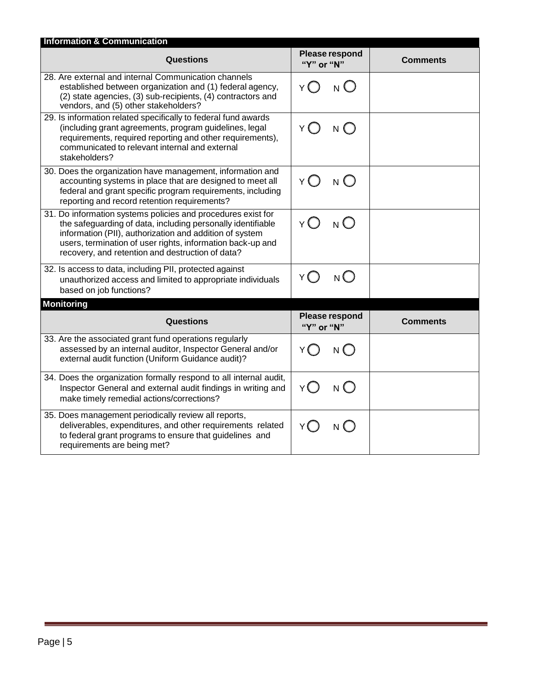| <b>Information &amp; Communication</b>                                                                                                                                                                                                                                                                   |                                     |                 |  |  |
|----------------------------------------------------------------------------------------------------------------------------------------------------------------------------------------------------------------------------------------------------------------------------------------------------------|-------------------------------------|-----------------|--|--|
| Questions                                                                                                                                                                                                                                                                                                | Please respond<br>"Y" or "N"        | <b>Comments</b> |  |  |
| 28. Are external and internal Communication channels<br>established between organization and (1) federal agency,<br>(2) state agencies, (3) sub-recipients, (4) contractors and<br>vendors, and (5) other stakeholders?                                                                                  | $_{N}$ ( )<br>Υĺ                    |                 |  |  |
| 29. Is information related specifically to federal fund awards<br>(including grant agreements, program guidelines, legal<br>requirements, required reporting and other requirements),<br>communicated to relevant internal and external<br>stakeholders?                                                 | $Y\bigcap$<br>$N$ $\bigcap$         |                 |  |  |
| 30. Does the organization have management, information and<br>accounting systems in place that are designed to meet all<br>federal and grant specific program requirements, including<br>reporting and record retention requirements?                                                                    | Y()<br>N(                           |                 |  |  |
| 31. Do information systems policies and procedures exist for<br>the safeguarding of data, including personally identifiable<br>information (PII), authorization and addition of system<br>users, termination of user rights, information back-up and<br>recovery, and retention and destruction of data? | $N$ $\bigcap$<br>Y (                |                 |  |  |
| 32. Is access to data, including PII, protected against<br>unauthorized access and limited to appropriate individuals<br>based on job functions?                                                                                                                                                         | $N$ $\bigcirc$<br>Y ( )             |                 |  |  |
| <b>Monitoring</b>                                                                                                                                                                                                                                                                                        |                                     |                 |  |  |
| Questions                                                                                                                                                                                                                                                                                                | <b>Please respond</b><br>"Y" or "N" | <b>Comments</b> |  |  |
| 33. Are the associated grant fund operations regularly<br>assessed by an internal auditor, Inspector General and/or<br>external audit function (Uniform Guidance audit)?                                                                                                                                 | Y∩<br>$N$ $\bigcap$                 |                 |  |  |
| 34. Does the organization formally respond to all internal audit,<br>Inspector General and external audit findings in writing and<br>make timely remedial actions/corrections?                                                                                                                           | $Y\bigcap$<br>N(                    |                 |  |  |
| 35. Does management periodically review all reports,<br>deliverables, expenditures, and other requirements related<br>to federal grant programs to ensure that guidelines and<br>requirements are being met?                                                                                             | Y (<br>N (                          |                 |  |  |